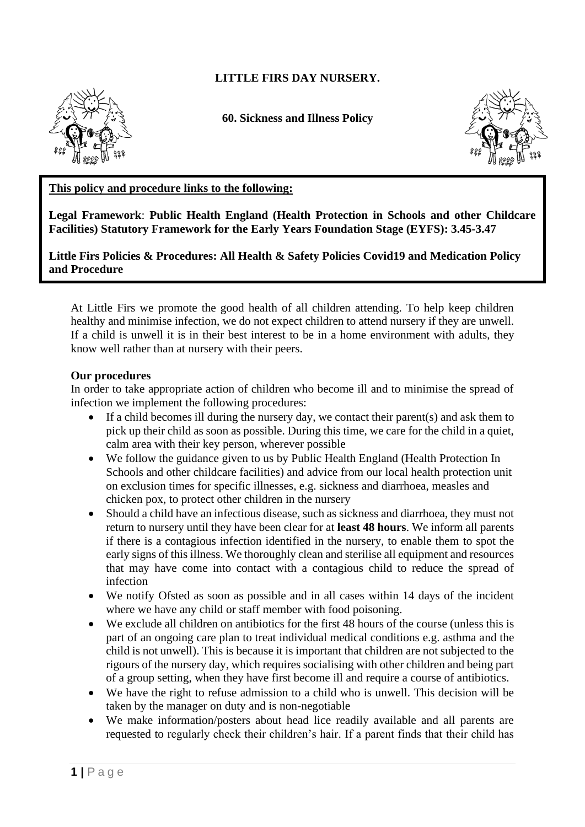# **LITTLE FIRS DAY NURSERY.**



**60. Sickness and Illness Policy**



### **This policy and procedure links to the following:**

**Legal Framework**: **Public Health England (Health Protection in Schools and other Childcare Facilities) Statutory Framework for the Early Years Foundation Stage (EYFS): 3.45-3.47**

**Little Firs Policies & Procedures: All Health & Safety Policies Covid19 and Medication Policy and Procedure**

At Little Firs we promote the good health of all children attending. To help keep children healthy and minimise infection, we do not expect children to attend nursery if they are unwell. If a child is unwell it is in their best interest to be in a home environment with adults, they know well rather than at nursery with their peers.

#### **Our procedures**

In order to take appropriate action of children who become ill and to minimise the spread of infection we implement the following procedures:

- If a child becomes ill during the nursery day, we contact their parent(s) and ask them to pick up their child as soon as possible. During this time, we care for the child in a quiet, calm area with their key person, wherever possible
- We follow the guidance given to us by Public Health England (Health Protection In Schools and other childcare facilities) and advice from our local health protection unit on exclusion times for specific illnesses, e.g. sickness and diarrhoea, measles and chicken pox, to protect other children in the nursery
- Should a child have an infectious disease, such as sickness and diarrhoea, they must not return to nursery until they have been clear for at **least 48 hours**. We inform all parents if there is a contagious infection identified in the nursery, to enable them to spot the early signs of this illness. We thoroughly clean and sterilise all equipment and resources that may have come into contact with a contagious child to reduce the spread of infection
- We notify Ofsted as soon as possible and in all cases within 14 days of the incident where we have any child or staff member with food poisoning.
- We exclude all children on antibiotics for the first 48 hours of the course (unless this is part of an ongoing care plan to treat individual medical conditions e.g. asthma and the child is not unwell). This is because it is important that children are not subjected to the rigours of the nursery day, which requires socialising with other children and being part of a group setting, when they have first become ill and require a course of antibiotics.
- We have the right to refuse admission to a child who is unwell. This decision will be taken by the manager on duty and is non-negotiable
- We make information/posters about head lice readily available and all parents are requested to regularly check their children's hair. If a parent finds that their child has